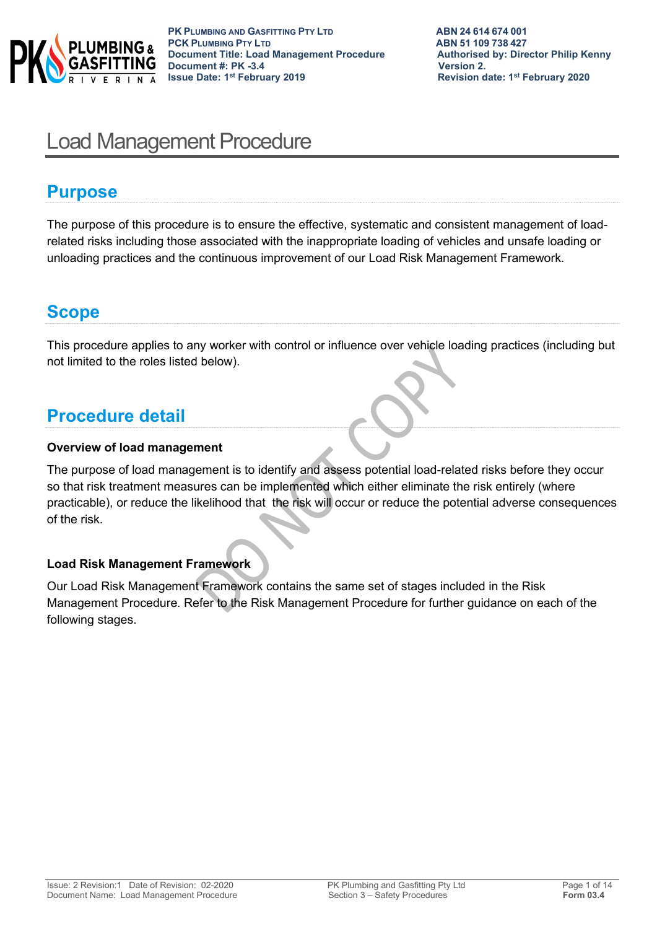

# Load Management Procedure

## **Purpose**

The purpose of this procedure is to ensure the effective, systematic and consistent management of loadrelated risks including those associated with the inappropriate loading of vehicles and unsafe loading or unloading practices and the continuous improvement of our Load Risk Management Framework.

# **Scope**

This procedure applies to any worker with control or influence over vehicle loading practices (including but not limited to the roles listed below).

# **Procedure detail**

## **Overview of load management**

The purpose of load management is to identify and assess potential load-related risks before they occur so that risk treatment measures can be implemented which either eliminate the risk entirely (where practicable), or reduce the likelihood that the risk will occur or reduce the potential adverse consequences of the risk.

## **Load Risk Management Framework**

Our Load Risk Management Framework contains the same set of stages included in the Risk Management Procedure. Refer to the Risk Management Procedure for further guidance on each of the following stages.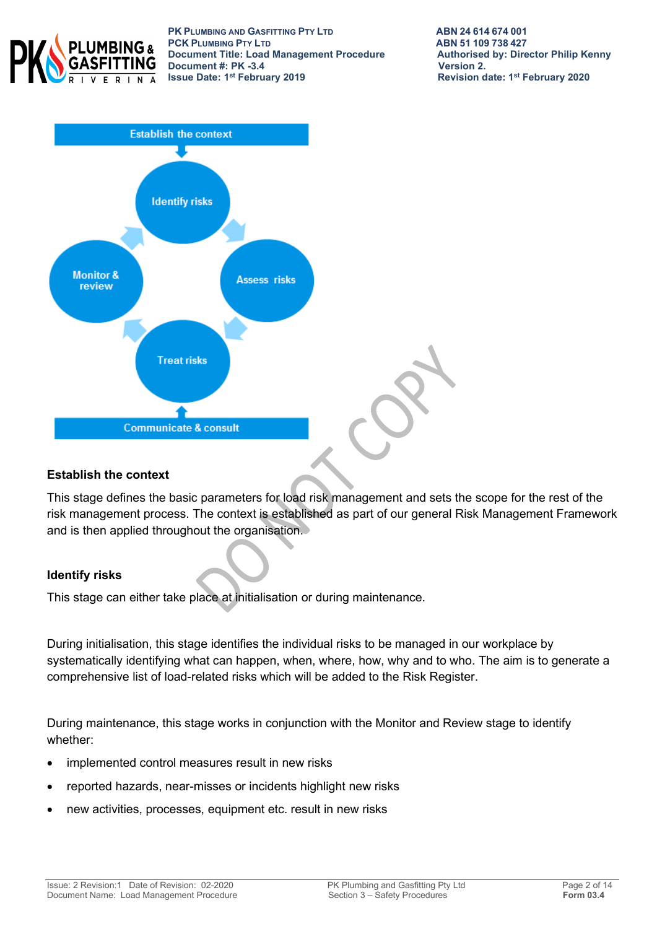

**PK PLUMBING AND GASFITTING PTY LTD**<br> **PCK PLUMBING PTY LTD**<br> **ABN 51 109 738 427 PCK PLUMBING PTY LTD**<br> **PCK PLUMBING PTY LTD**<br> **Document Title: Load Management Procedure** Authorised by: Director Philip Kenny **Document Title: Load Management Procedure Authorised**<br>Document #: PK -3.4 **Document #: PK -3.4**<br>**Issue Date: 1<sup>st</sup> February 2019** 



### **Establish the context**

This stage defines the basic parameters for load risk management and sets the scope for the rest of the risk management process. The context is established as part of our general Risk Management Framework and is then applied throughout the organisation.

### **Identify risks**

This stage can either take place at initialisation or during maintenance.

During initialisation, this stage identifies the individual risks to be managed in our workplace by systematically identifying what can happen, when, where, how, why and to who. The aim is to generate a comprehensive list of load-related risks which will be added to the Risk Register.

During maintenance, this stage works in conjunction with the Monitor and Review stage to identify whether:

- implemented control measures result in new risks
- reported hazards, near-misses or incidents highlight new risks
- new activities, processes, equipment etc. result in new risks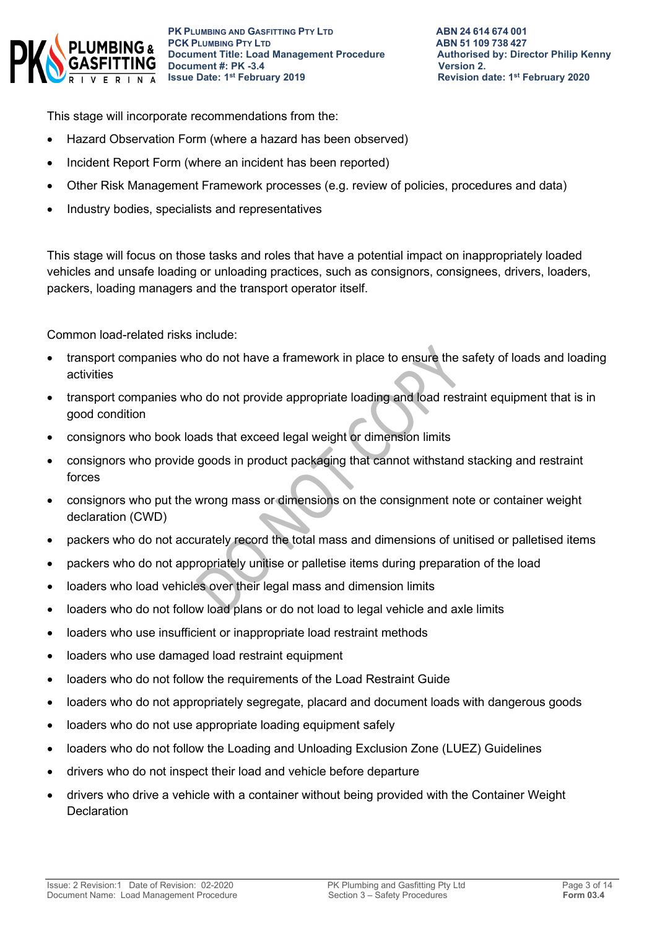

This stage will incorporate recommendations from the:

- Hazard Observation Form (where a hazard has been observed)
- Incident Report Form (where an incident has been reported)
- Other Risk Management Framework processes (e.g. review of policies, procedures and data)
- Industry bodies, specialists and representatives

This stage will focus on those tasks and roles that have a potential impact on inappropriately loaded vehicles and unsafe loading or unloading practices, such as consignors, consignees, drivers, loaders, packers, loading managers and the transport operator itself.

Common load-related risks include:

- transport companies who do not have a framework in place to ensure the safety of loads and loading activities
- transport companies who do not provide appropriate loading and load restraint equipment that is in good condition
- consignors who book loads that exceed legal weight or dimension limits
- consignors who provide goods in product packaging that cannot withstand stacking and restraint forces
- consignors who put the wrong mass or dimensions on the consignment note or container weight declaration (CWD)
- packers who do not accurately record the total mass and dimensions of unitised or palletised items
- packers who do not appropriately unitise or palletise items during preparation of the load
- loaders who load vehicles over their legal mass and dimension limits
- loaders who do not follow load plans or do not load to legal vehicle and axle limits
- loaders who use insufficient or inappropriate load restraint methods
- loaders who use damaged load restraint equipment
- loaders who do not follow the requirements of the Load Restraint Guide
- loaders who do not appropriately segregate, placard and document loads with dangerous goods
- loaders who do not use appropriate loading equipment safely
- loaders who do not follow the Loading and Unloading Exclusion Zone (LUEZ) Guidelines
- drivers who do not inspect their load and vehicle before departure
- drivers who drive a vehicle with a container without being provided with the Container Weight **Declaration**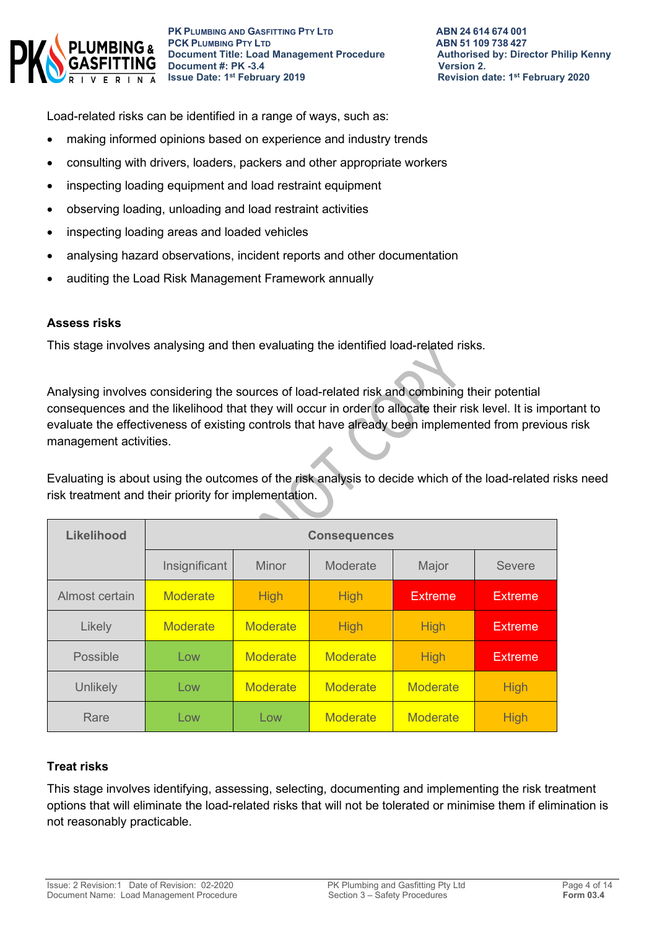

Load-related risks can be identified in a range of ways, such as:

- making informed opinions based on experience and industry trends
- consulting with drivers, loaders, packers and other appropriate workers
- inspecting loading equipment and load restraint equipment
- observing loading, unloading and load restraint activities
- inspecting loading areas and loaded vehicles
- analysing hazard observations, incident reports and other documentation
- auditing the Load Risk Management Framework annually

#### **Assess risks**

This stage involves analysing and then evaluating the identified load-related risks.

Analysing involves considering the sources of load-related risk and combining their potential consequences and the likelihood that they will occur in order to allocate their risk level. It is important to evaluate the effectiveness of existing controls that have already been implemented from previous risk management activities.

Evaluating is about using the outcomes of the risk analysis to decide which of the load-related risks need risk treatment and their priority for implementation.

| <b>Likelihood</b> | <b>Consequences</b> |                 |                 |                 |                |
|-------------------|---------------------|-----------------|-----------------|-----------------|----------------|
|                   | Insignificant       | <b>Minor</b>    | Moderate        | Major           | Severe         |
| Almost certain    | <b>Moderate</b>     | <b>High</b>     | <b>High</b>     | <b>Extreme</b>  | <b>Extreme</b> |
| Likely            | <b>Moderate</b>     | Moderate        | <b>High</b>     | <b>High</b>     | <b>Extreme</b> |
| Possible          | Low                 | <b>Moderate</b> | <b>Moderate</b> | <b>High</b>     | <b>Extreme</b> |
| <b>Unlikely</b>   | Low                 | <b>Moderate</b> | <b>Moderate</b> | <b>Moderate</b> | <b>High</b>    |
| Rare              | Low                 | Low             | <b>Moderate</b> | <b>Moderate</b> | <b>High</b>    |

### **Treat risks**

This stage involves identifying, assessing, selecting, documenting and implementing the risk treatment options that will eliminate the load-related risks that will not be tolerated or minimise them if elimination is not reasonably practicable.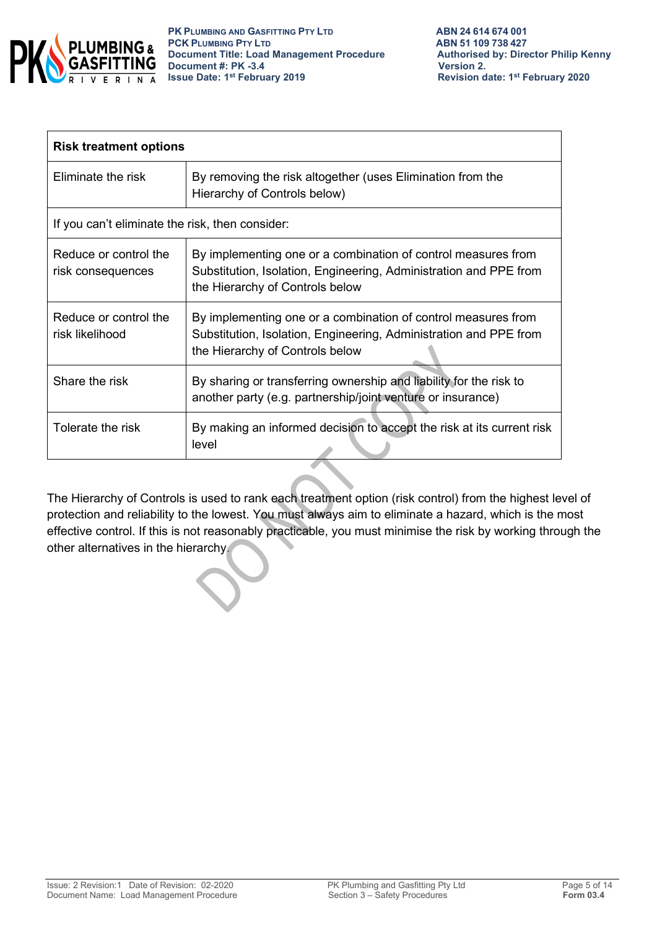

| <b>Risk treatment options</b>                   |                                                                                                                                                                       |  |  |  |
|-------------------------------------------------|-----------------------------------------------------------------------------------------------------------------------------------------------------------------------|--|--|--|
| Eliminate the risk                              | By removing the risk altogether (uses Elimination from the<br>Hierarchy of Controls below)                                                                            |  |  |  |
| If you can't eliminate the risk, then consider: |                                                                                                                                                                       |  |  |  |
| Reduce or control the<br>risk consequences      | By implementing one or a combination of control measures from<br>Substitution, Isolation, Engineering, Administration and PPE from<br>the Hierarchy of Controls below |  |  |  |
| Reduce or control the<br>risk likelihood        | By implementing one or a combination of control measures from<br>Substitution, Isolation, Engineering, Administration and PPE from<br>the Hierarchy of Controls below |  |  |  |
| Share the risk                                  | By sharing or transferring ownership and liability for the risk to<br>another party (e.g. partnership/joint venture or insurance)                                     |  |  |  |
| Tolerate the risk                               | By making an informed decision to accept the risk at its current risk<br>level                                                                                        |  |  |  |

The Hierarchy of Controls is used to rank each treatment option (risk control) from the highest level of protection and reliability to the lowest. You must always aim to eliminate a hazard, which is the most effective control. If this is not reasonably practicable, you must minimise the risk by working through the other alternatives in the hierarchy.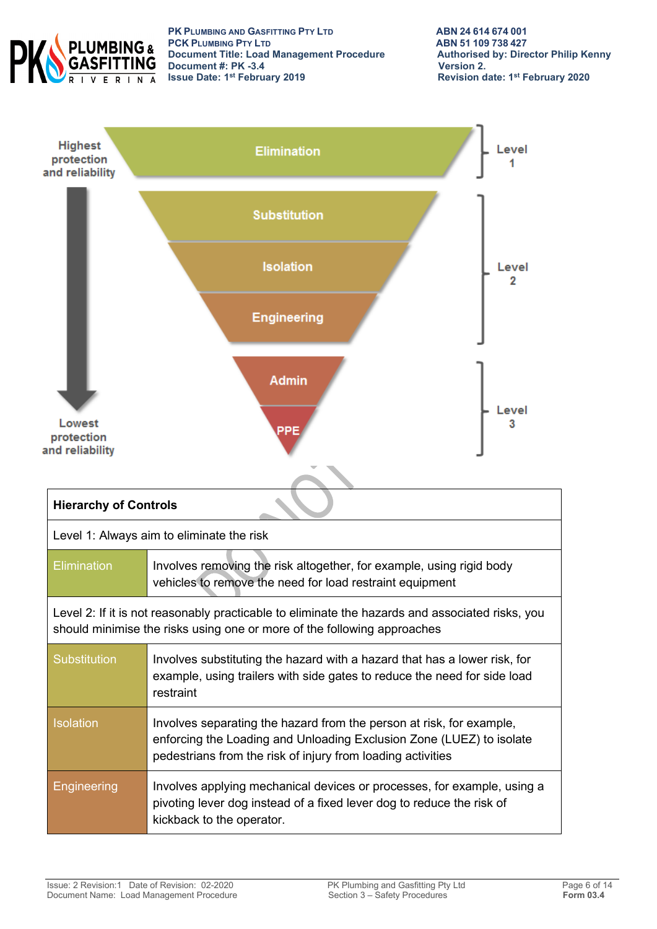

**PK PLUMBING AND GASFITTING PTY LTD**<br> **PCK PLUMBING PTY LTD**<br> **ABN 51 109 738 427 PCK PLUMBING PTY LTD**<br> **PCK PLUMBING PTY LTD**<br> **Document Title: Load Management Procedure** Authorised by: Director Philip Kenny **Document Title: Load Management Procedure Authorised**<br>Document #: PK -3.4 **Document #: PK -3.4**<br>**Issue Date: 1<sup>st</sup> February 2019** 

**Revision date: 1st February 2020** 

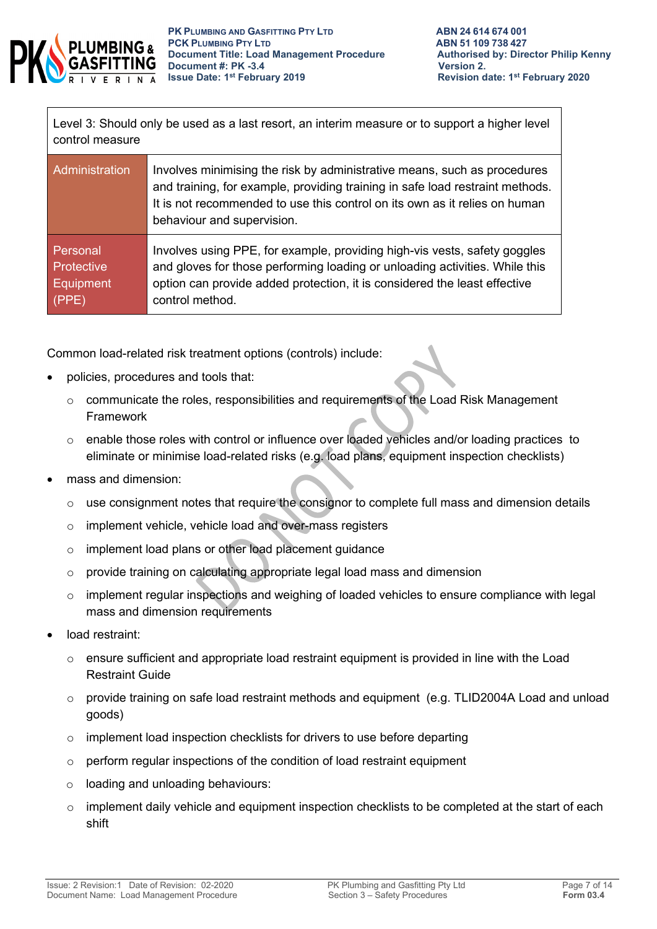

Level 3: Should only be used as a last resort, an interim measure or to support a higher level control measure

| Administration    | Involves minimising the risk by administrative means, such as procedures<br>and training, for example, providing training in safe load restraint methods.<br>It is not recommended to use this control on its own as it relies on human<br>behaviour and supervision. |
|-------------------|-----------------------------------------------------------------------------------------------------------------------------------------------------------------------------------------------------------------------------------------------------------------------|
| Personal          | Involves using PPE, for example, providing high-vis vests, safety goggles                                                                                                                                                                                             |
| <b>Protective</b> | and gloves for those performing loading or unloading activities. While this                                                                                                                                                                                           |
| <b>Equipment</b>  | option can provide added protection, it is considered the least effective                                                                                                                                                                                             |
| (PPE)             | control method.                                                                                                                                                                                                                                                       |

Common load-related risk treatment options (controls) include:

- policies, procedures and tools that:
	- o communicate the roles, responsibilities and requirements of the Load Risk Management Framework
	- o enable those roles with control or influence over loaded vehicles and/or loading practices to eliminate or minimise load-related risks (e.g. load plans, equipment inspection checklists)
- mass and dimension:
	- o use consignment notes that require the consignor to complete full mass and dimension details
	- o implement vehicle, vehicle load and over-mass registers
	- o implement load plans or other load placement guidance
	- o provide training on calculating appropriate legal load mass and dimension
	- o implement regular inspections and weighing of loaded vehicles to ensure compliance with legal mass and dimension requirements
- load restraint:
	- $\circ$  ensure sufficient and appropriate load restraint equipment is provided in line with the Load Restraint Guide
	- $\circ$  provide training on safe load restraint methods and equipment (e.g. TLID2004A Load and unload goods)
	- o implement load inspection checklists for drivers to use before departing
	- $\circ$  perform regular inspections of the condition of load restraint equipment
	- o loading and unloading behaviours:
	- $\circ$  implement daily vehicle and equipment inspection checklists to be completed at the start of each shift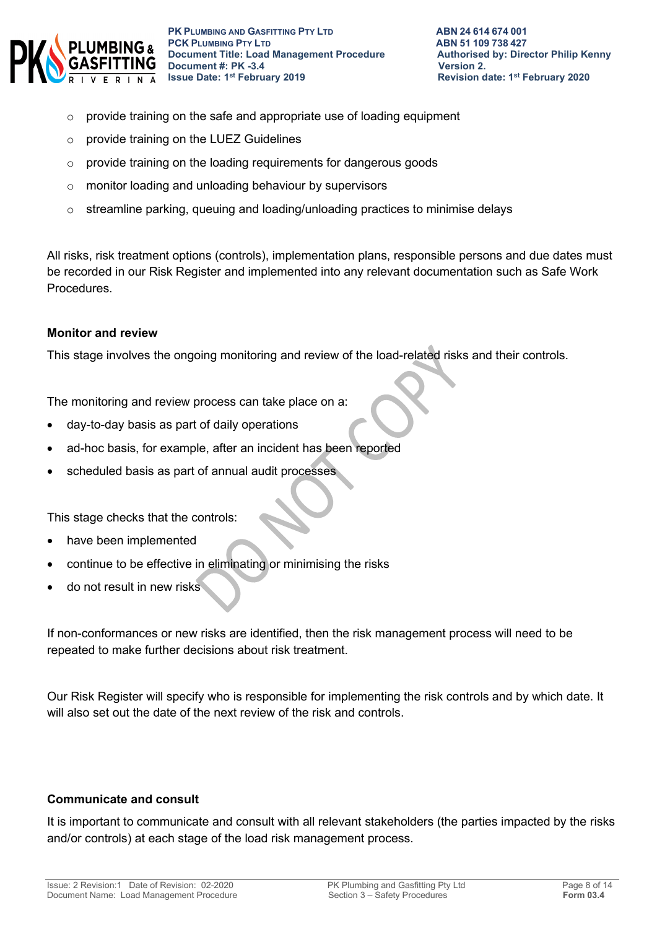

- $\circ$  provide training on the safe and appropriate use of loading equipment
- o provide training on the LUEZ Guidelines
- o provide training on the loading requirements for dangerous goods
- o monitor loading and unloading behaviour by supervisors
- $\circ$  streamline parking, queuing and loading/unloading practices to minimise delays

All risks, risk treatment options (controls), implementation plans, responsible persons and due dates must be recorded in our Risk Register and implemented into any relevant documentation such as Safe Work Procedures.

#### **Monitor and review**

This stage involves the ongoing monitoring and review of the load-related risks and their controls.

The monitoring and review process can take place on a:

- day-to-day basis as part of daily operations
- ad-hoc basis, for example, after an incident has been reported
- scheduled basis as part of annual audit processes

This stage checks that the controls:

- have been implemented
- continue to be effective in eliminating or minimising the risks
- do not result in new risks

If non-conformances or new risks are identified, then the risk management process will need to be repeated to make further decisions about risk treatment.

Our Risk Register will specify who is responsible for implementing the risk controls and by which date. It will also set out the date of the next review of the risk and controls.

#### **Communicate and consult**

It is important to communicate and consult with all relevant stakeholders (the parties impacted by the risks and/or controls) at each stage of the load risk management process.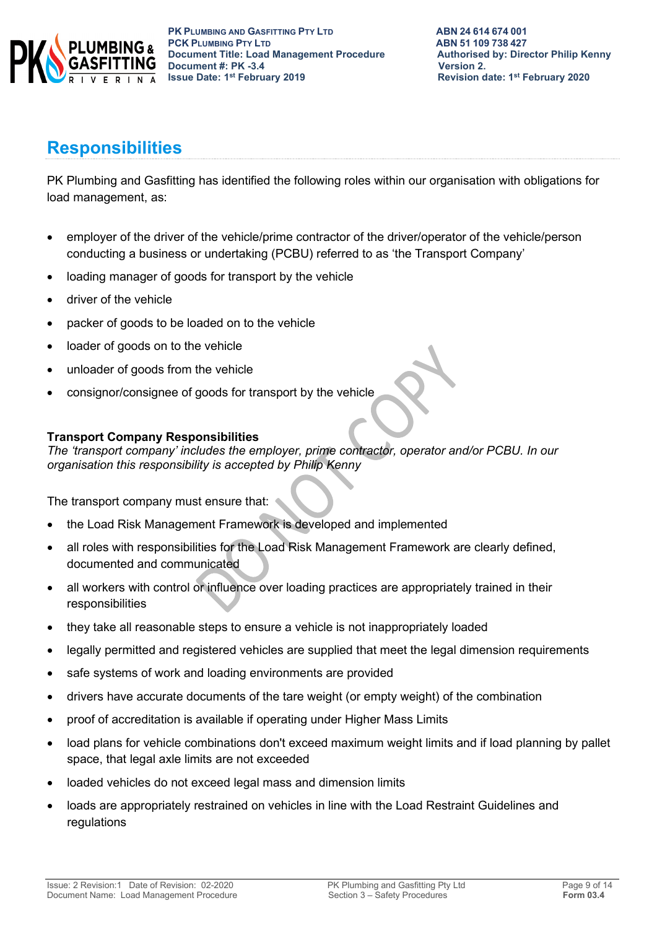

## **Responsibilities**

PK Plumbing and Gasfitting has identified the following roles within our organisation with obligations for load management, as:

- employer of the driver of the vehicle/prime contractor of the driver/operator of the vehicle/person conducting a business or undertaking (PCBU) referred to as 'the Transport Company'
- loading manager of goods for transport by the vehicle
- driver of the vehicle
- packer of goods to be loaded on to the vehicle
- loader of goods on to the vehicle
- unloader of goods from the vehicle
- consignor/consignee of goods for transport by the vehicle

## **Transport Company Responsibilities**

*The 'transport company' includes the employer, prime contractor, operator and/or PCBU. In our organisation this responsibility is accepted by Philip Kenny*

The transport company must ensure that:

- the Load Risk Management Framework is developed and implemented
- all roles with responsibilities for the Load Risk Management Framework are clearly defined, documented and communicated
- all workers with control or influence over loading practices are appropriately trained in their responsibilities
- they take all reasonable steps to ensure a vehicle is not inappropriately loaded
- legally permitted and registered vehicles are supplied that meet the legal dimension requirements
- safe systems of work and loading environments are provided
- drivers have accurate documents of the tare weight (or empty weight) of the combination
- proof of accreditation is available if operating under Higher Mass Limits
- load plans for vehicle combinations don't exceed maximum weight limits and if load planning by pallet space, that legal axle limits are not exceeded
- loaded vehicles do not exceed legal mass and dimension limits
- loads are appropriately restrained on vehicles in line with the Load Restraint Guidelines and regulations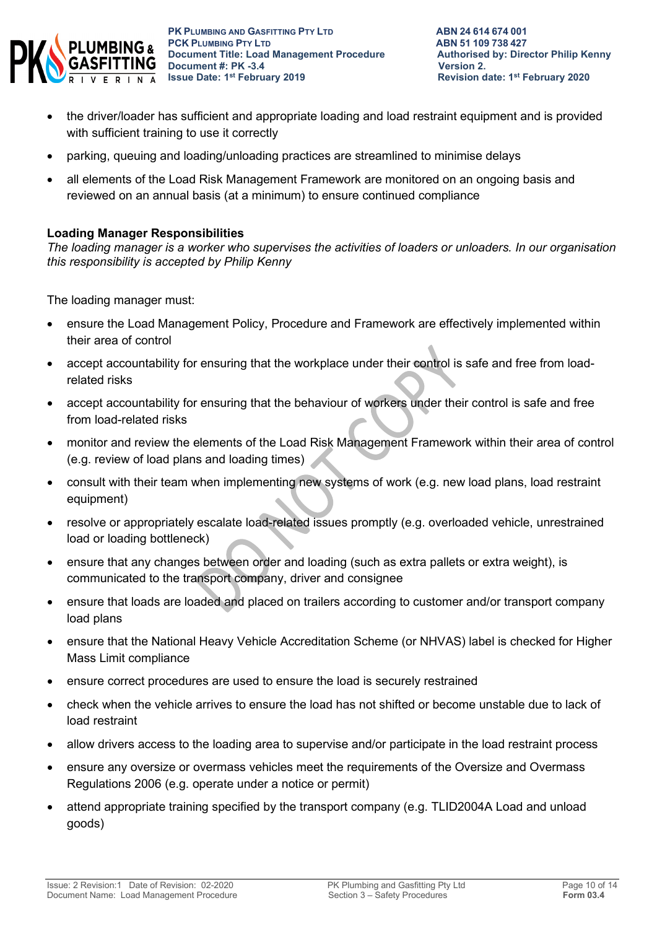

- the driver/loader has sufficient and appropriate loading and load restraint equipment and is provided with sufficient training to use it correctly
- parking, queuing and loading/unloading practices are streamlined to minimise delays
- all elements of the Load Risk Management Framework are monitored on an ongoing basis and reviewed on an annual basis (at a minimum) to ensure continued compliance

### **Loading Manager Responsibilities**

*The loading manager is a worker who supervises the activities of loaders or unloaders. In our organisation this responsibility is accepted by Philip Kenny*

The loading manager must:

- ensure the Load Management Policy, Procedure and Framework are effectively implemented within their area of control
- accept accountability for ensuring that the workplace under their control is safe and free from loadrelated risks
- accept accountability for ensuring that the behaviour of workers under their control is safe and free from load-related risks
- monitor and review the elements of the Load Risk Management Framework within their area of control (e.g. review of load plans and loading times)
- consult with their team when implementing new systems of work (e.g. new load plans, load restraint equipment)
- resolve or appropriately escalate load-related issues promptly (e.g. overloaded vehicle, unrestrained load or loading bottleneck)
- ensure that any changes between order and loading (such as extra pallets or extra weight), is communicated to the transport company, driver and consignee
- ensure that loads are loaded and placed on trailers according to customer and/or transport company load plans
- ensure that the National Heavy Vehicle Accreditation Scheme (or NHVAS) label is checked for Higher Mass Limit compliance
- ensure correct procedures are used to ensure the load is securely restrained
- check when the vehicle arrives to ensure the load has not shifted or become unstable due to lack of load restraint
- allow drivers access to the loading area to supervise and/or participate in the load restraint process
- ensure any oversize or overmass vehicles meet the requirements of the Oversize and Overmass Regulations 2006 (e.g. operate under a notice or permit)
- attend appropriate training specified by the transport company (e.g. TLID2004A Load and unload goods)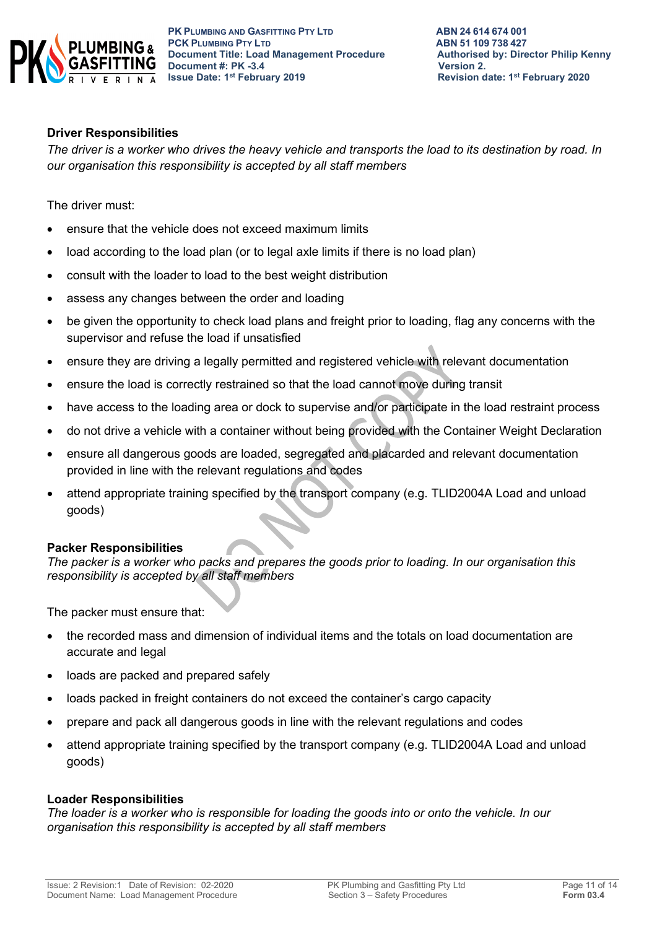

**PK PLUMBING AND GASFITTING PTY LTD**<br> **PCK PLUMBING PTY LTD**<br> **ABN 51 109 738 427 PCK PLUMBING PTY LTD**<br> **PCK PLUMBING PTY LTD**<br> **Document Title: Load Management Procedure** Authorised by: Director Philip Kenny **Document Title: Load Management Procedure Authorised**<br>Document #: PK -3.4 **Document #: PK -3.4**<br>**Issue Date: 1<sup>st</sup> February 2019** 

#### **Driver Responsibilities**

*The driver is a worker who drives the heavy vehicle and transports the load to its destination by road. In our organisation this responsibility is accepted by all staff members* 

The driver must:

- ensure that the vehicle does not exceed maximum limits
- load according to the load plan (or to legal axle limits if there is no load plan)
- consult with the loader to load to the best weight distribution
- assess any changes between the order and loading
- be given the opportunity to check load plans and freight prior to loading, flag any concerns with the supervisor and refuse the load if unsatisfied
- ensure they are driving a legally permitted and registered vehicle with relevant documentation
- ensure the load is correctly restrained so that the load cannot move during transit
- have access to the loading area or dock to supervise and/or participate in the load restraint process
- do not drive a vehicle with a container without being provided with the Container Weight Declaration
- ensure all dangerous goods are loaded, segregated and placarded and relevant documentation provided in line with the relevant regulations and codes
- attend appropriate training specified by the transport company (e.g. TLID2004A Load and unload goods)

#### **Packer Responsibilities**

*The packer is a worker who packs and prepares the goods prior to loading. In our organisation this responsibility is accepted by all staff members*

The packer must ensure that:

- the recorded mass and dimension of individual items and the totals on load documentation are accurate and legal
- loads are packed and prepared safely
- loads packed in freight containers do not exceed the container's cargo capacity
- prepare and pack all dangerous goods in line with the relevant regulations and codes
- attend appropriate training specified by the transport company (e.g. TLID2004A Load and unload goods)

### **Loader Responsibilities**

*The loader is a worker who is responsible for loading the goods into or onto the vehicle. In our organisation this responsibility is accepted by all staff members*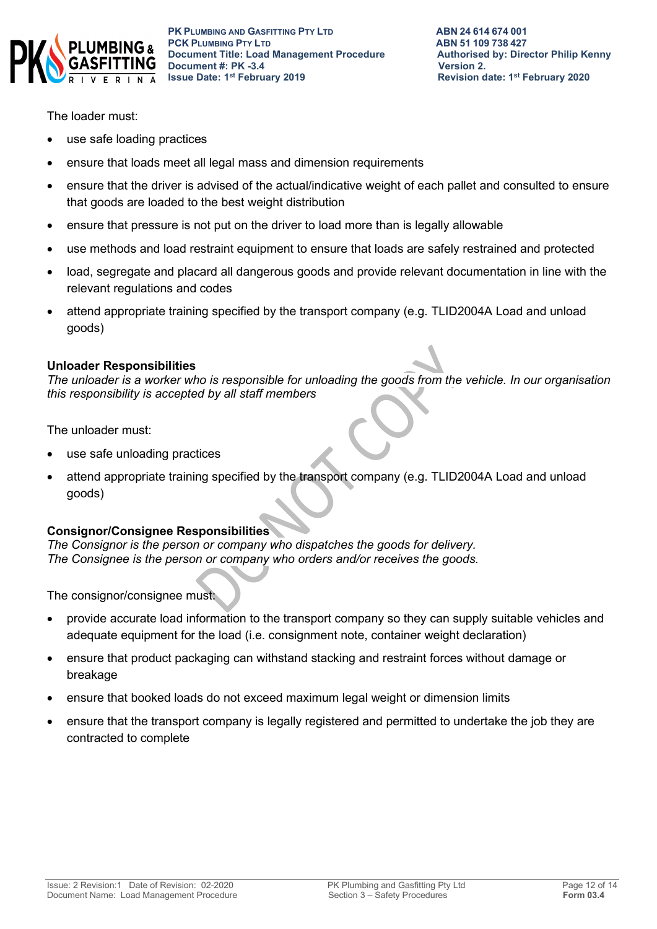

The loader must:

- use safe loading practices
- ensure that loads meet all legal mass and dimension requirements
- ensure that the driver is advised of the actual/indicative weight of each pallet and consulted to ensure that goods are loaded to the best weight distribution
- ensure that pressure is not put on the driver to load more than is legally allowable
- use methods and load restraint equipment to ensure that loads are safely restrained and protected
- load, segregate and placard all dangerous goods and provide relevant documentation in line with the relevant regulations and codes
- attend appropriate training specified by the transport company (e.g. TLID2004A Load and unload goods)

#### **Unloader Responsibilities**

*The unloader is a worker who is responsible for unloading the goods from the vehicle. In our organisation this responsibility is accepted by all staff members*

The unloader must:

- use safe unloading practices
- attend appropriate training specified by the transport company (e.g. TLID2004A Load and unload goods)

### **Consignor/Consignee Responsibilities**

*The Consignor is the person or company who dispatches the goods for delivery. The Consignee is the person or company who orders and/or receives the goods.* 

The consignor/consignee must:

- provide accurate load information to the transport company so they can supply suitable vehicles and adequate equipment for the load (i.e. consignment note, container weight declaration)
- ensure that product packaging can withstand stacking and restraint forces without damage or breakage
- ensure that booked loads do not exceed maximum legal weight or dimension limits
- ensure that the transport company is legally registered and permitted to undertake the job they are contracted to complete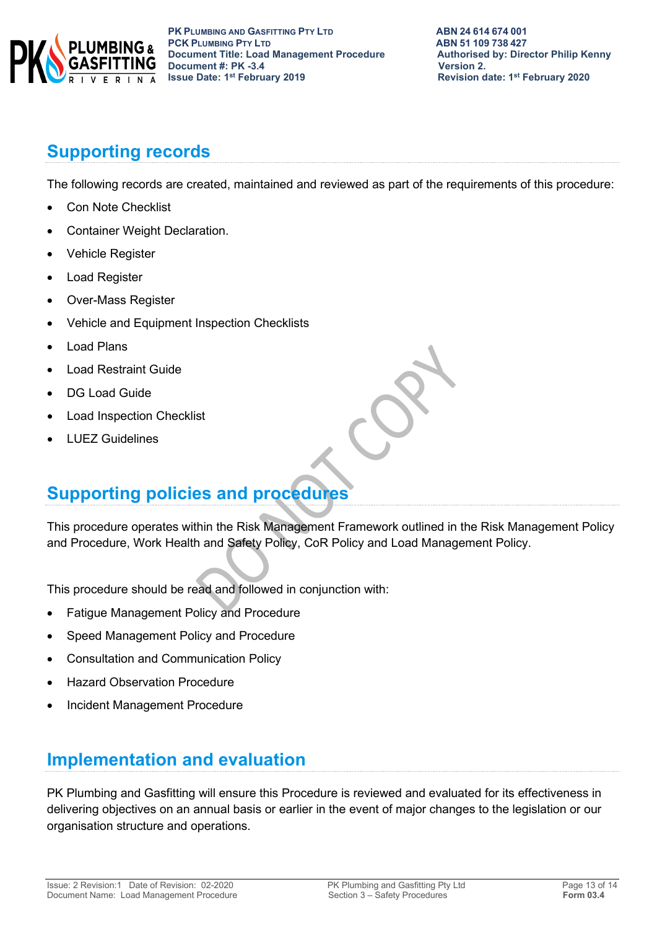

# **Supporting records**

The following records are created, maintained and reviewed as part of the requirements of this procedure:

- Con Note Checklist
- Container Weight Declaration.
- Vehicle Register
- Load Register
- Over-Mass Register
- Vehicle and Equipment Inspection Checklists
- Load Plans
- Load Restraint Guide
- DG Load Guide
- Load Inspection Checklist
- LUEZ Guidelines

# **Supporting policies and procedures**

This procedure operates within the Risk Management Framework outlined in the Risk Management Policy and Procedure, Work Health and Safety Policy, CoR Policy and Load Management Policy.

This procedure should be read and followed in conjunction with:

- Fatigue Management Policy and Procedure
- Speed Management Policy and Procedure
- Consultation and Communication Policy
- Hazard Observation Procedure
- Incident Management Procedure

# **Implementation and evaluation**

PK Plumbing and Gasfitting will ensure this Procedure is reviewed and evaluated for its effectiveness in delivering objectives on an annual basis or earlier in the event of major changes to the legislation or our organisation structure and operations.